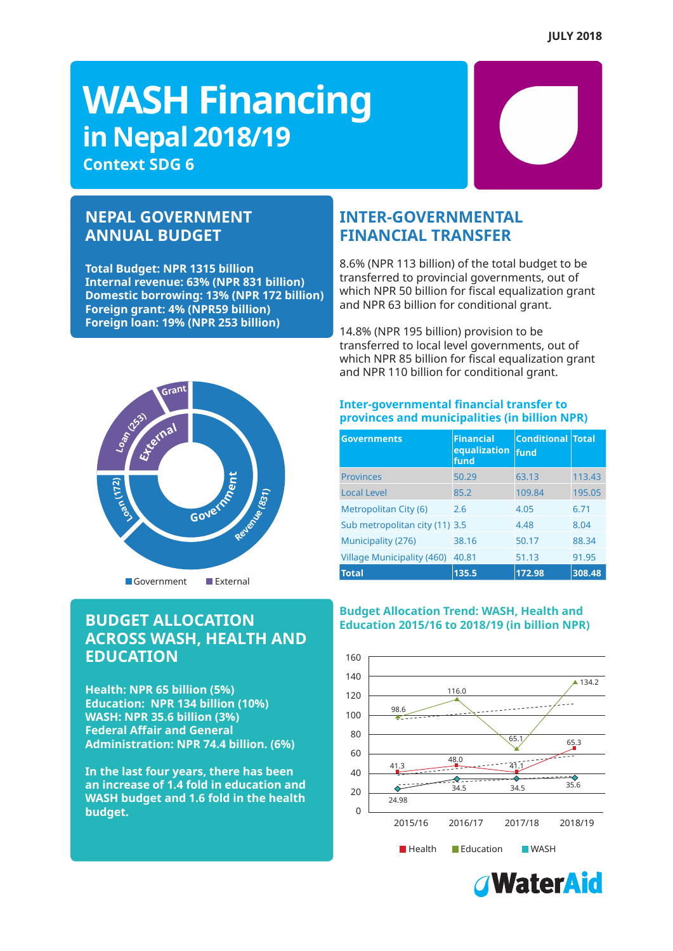# **WASH Financing in Nepal 2018/19**

**Context SDG 6**

### **NEPAL GOVERNMENT ANNUAL BUDGET**

**Total Budget: NPR 1315 billion Internal revenue: 63% (NPR 831 billion) Domestic borrowing: 13% (NPR 172 billion) Foreign grant: 4% (NPR59 billion) Foreign loan: 19% (NPR 253 billion)** 

### **INTER-GOVERNMENTAL FINANCIAL TRANSFER**

8.6% (NPR 113 billion) of the total budget to be transferred to provincial governments, out of which NPR 50 billion for fiscal equalization grant and NPR 63 billion for conditional grant.

14.8% (NPR 195 billion) provision to be transferred to local level governments, out of which NPR 85 billion for fiscal equalization grant and NPR 110 billion for conditional grant.



### **BUDGET ALLOCATION ACROSS WASH, HEALTH AND EDUCATION**

**Health: NPR 65 billion (5%) Education: NPR 134 billion (10%) WASH: NPR 35.6 billion (3%) Federal Affair and General Administration: NPR 74.4 billion. (6%)**

**In the last four years, there has been an increase of 1.4 fold in education and WASH budget and 1.6 fold in the health budget.**

### **Inter-governmental financial transfer to provinces and municipalities (in billion NPR)**

| <b>Governments</b>                | <b>Financial</b><br>equalization<br>fund | <b>Conditional Total</b><br>fund |        |
|-----------------------------------|------------------------------------------|----------------------------------|--------|
| <b>Provinces</b>                  | 50.29                                    | 63.13                            | 113.43 |
| <b>Local Level</b>                | 85.2                                     | 109.84                           | 195.05 |
| Metropolitan City (6)             | 2.6                                      | 4.05                             | 6.71   |
| Sub metropolitan city (11) 3.5    |                                          | 4.48                             | 8.04   |
| Municipality (276)                | 38.16                                    | 50.17                            | 88.34  |
| <b>Village Municipality (460)</b> | 40.81                                    | 51.13                            | 91.95  |
| <b>Total</b>                      | 135.5                                    | 172.98                           | 308.48 |

### **Budget Allocation Trend: WASH, Health and Education 2015/16 to 2018/19 (in billion NPR)**



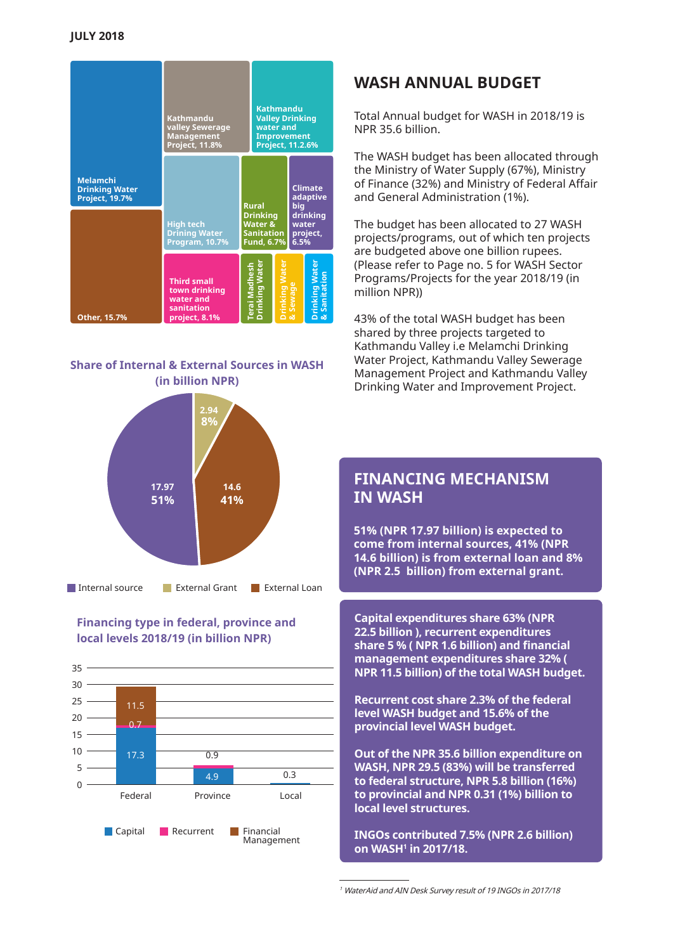|                                                                   | <b>Kathmandu</b><br><b>valley Sewerage</b><br><b>Management</b><br>Project, 11.8% | <b>Kathmandu</b><br><b>Valley Drinking</b><br>water and<br><b>Improvement</b><br>Project, 11.2.6% |                      |                                                                                   |                                |
|-------------------------------------------------------------------|-----------------------------------------------------------------------------------|---------------------------------------------------------------------------------------------------|----------------------|-----------------------------------------------------------------------------------|--------------------------------|
| <b>Melamchi</b><br><b>Drinking Water</b><br><b>Project, 19.7%</b> | <b>High tech</b><br><b>Drining Water</b><br>Program, 10.7%                        | <b>Rural</b><br><b>Drinking</b><br>Water &<br><b>Sanitation</b><br>Fund, 6.7%                     |                      | <b>Climate</b><br>adaptive<br>biq<br><b>drinking</b><br>water<br>project,<br>6.5% |                                |
| Other, 15.7%                                                      | <b>Third small</b><br>town drinking<br>water and<br>sanitation<br>project, 8.1%   | Terai Madhesh<br>Drinking Water                                                                   | <b>Drinking Wate</b> | Sewage                                                                            | Drinking Wateı<br>& Sanitation |

### **Share of Internal & External Sources in WASH (in billion NPR)**



### **Financing type in federal, province and local levels 2018/19 (in billion NPR)**



### **WASH ANNUAL BUDGET**

Total Annual budget for WASH in 2018/19 is NPR 35.6 billion.

The WASH budget has been allocated through the Ministry of Water Supply (67%), Ministry of Finance (32%) and Ministry of Federal Affair and General Administration (1%).

The budget has been allocated to 27 WASH projects/programs, out of which ten projects are budgeted above one billion rupees. (Please refer to Page no. 5 for WASH Sector Programs/Projects for the year 2018/19 (in million NPR))

43% of the total WASH budget has been shared by three projects targeted to Kathmandu Valley i.e Melamchi Drinking Water Project, Kathmandu Valley Sewerage Management Project and Kathmandu Valley Drinking Water and Improvement Project.

### **FINANCING MECHANISM IN WASH**

**51% (NPR 17.97 billion) is expected to come from internal sources, 41% (NPR 14.6 billion) is from external loan and 8% (NPR 2.5 billion) from external grant.** 

**Capital expenditures share 63% (NPR 22.5 billion ), recurrent expenditures share 5 % ( NPR 1.6 billion) and financial management expenditures share 32% ( NPR 11.5 billion) of the total WASH budget.**

**Recurrent cost share 2.3% of the federal level WASH budget and 15.6% of the provincial level WASH budget.** 

**Out of the NPR 35.6 billion expenditure on WASH, NPR 29.5 (83%) will be transferred to federal structure, NPR 5.8 billion (16%) to provincial and NPR 0.31 (1%) billion to local level structures.**

**INGOs contributed 7.5% (NPR 2.6 billion) on WASH1 in 2017/18.**

<sup>1</sup> WaterAid and AIN Desk Survey result of 19 INGOs in 2017/18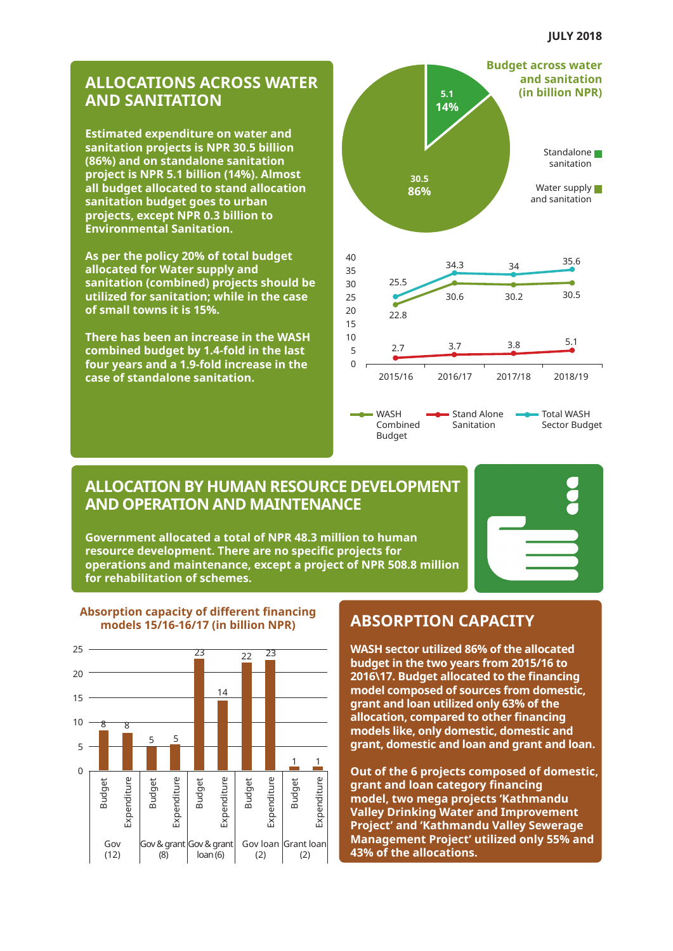### **ALLOCATIONS ACROSS WATER AND SANITATION**

**Estimated expenditure on water and sanitation projects is NPR 30.5 billion (86%) and on standalone sanitation project is NPR 5.1 billion (14%). Almost all budget allocated to stand allocation sanitation budget goes to urban projects, except NPR 0.3 billion to Environmental Sanitation.** 

**As per the policy 20% of total budget allocated for Water supply and sanitation (combined) projects should be utilized for sanitation; while in the case of small towns it is 15%.** 

**There has been an increase in the WASH combined budget by 1.4-fold in the last four years and a 1.9-fold increase in the case of standalone sanitation.**



### **ALLOCATION BY HUMAN RESOURCE DEVELOPMENT AND OPERATION AND MAINTENANCE**

**Government allocated a total of NPR 48.3 million to human resource development. There are no specific projects for operations and maintenance, except a project of NPR 508.8 million for rehabilitation of schemes.**





#### **Absorption capacity of different financing models 15/16-16/17 (in billion NPR) ABSORPTION CAPACITY**

**WASH sector utilized 86% of the allocated budget in the two years from 2015/16 to 2016\17. Budget allocated to the financing model composed of sources from domestic, grant and loan utilized only 63% of the allocation, compared to other financing models like, only domestic, domestic and grant, domestic and loan and grant and loan.** 

**Out of the 6 projects composed of domestic, grant and loan category financing model, two mega projects 'Kathmandu Valley Drinking Water and Improvement Project' and 'Kathmandu Valley Sewerage Management Project' utilized only 55% and 43% of the allocations.**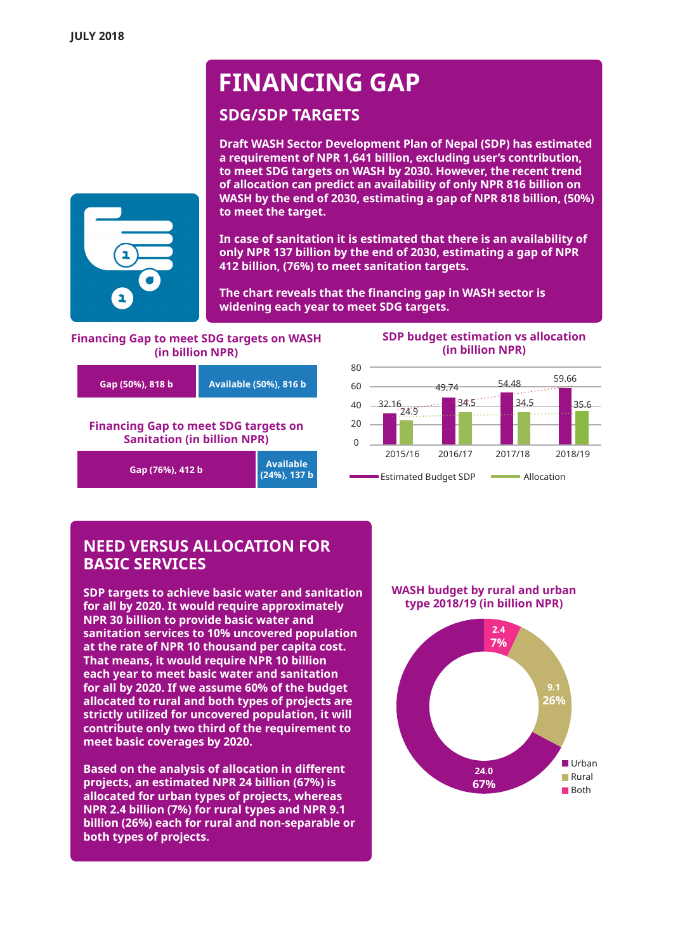## **FINANCING GAP**

### **SDG/SDP TARGETS**

**Draft WASH Sector Development Plan of Nepal (SDP) has estimated a requirement of NPR 1,641 billion, excluding user's contribution, to meet SDG targets on WASH by 2030. However, the recent trend of allocation can predict an availability of only NPR 816 billion on WASH by the end of 2030, estimating a gap of NPR 818 billion, (50%) to meet the target.**

**In case of sanitation it is estimated that there is an availability of only NPR 137 billion by the end of 2030, estimating a gap of NPR 412 billion, (76%) to meet sanitation targets.** 

**The chart reveals that the financing gap in WASH sector is widening each year to meet SDG targets.** 

### **Financing Gap to meet SDG targets on WASH (in billion NPR)**



### **SDP budget estimation vs allocation (in billion NPR)**



### **NEED VERSUS ALLOCATION FOR BASIC SERVICES**

**SDP targets to achieve basic water and sanitation for all by 2020. It would require approximately NPR 30 billion to provide basic water and sanitation services to 10% uncovered population at the rate of NPR 10 thousand per capita cost. That means, it would require NPR 10 billion each year to meet basic water and sanitation for all by 2020. If we assume 60% of the budget allocated to rural and both types of projects are strictly utilized for uncovered population, it will contribute only two third of the requirement to meet basic coverages by 2020.** 

**Based on the analysis of allocation in different projects, an estimated NPR 24 billion (67%) is allocated for urban types of projects, whereas NPR 2.4 billion (7%) for rural types and NPR 9.1 billion (26%) each for rural and non-separable or both types of projects.**

**WASH budget by rural and urban type 2018/19 (in billion NPR)**



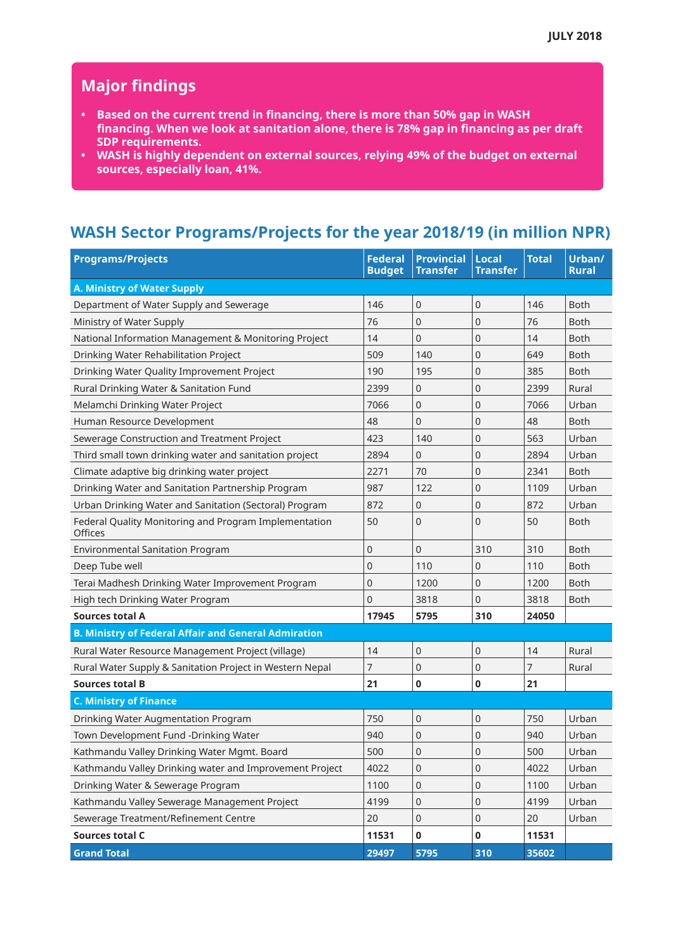### **Major findings**

- **• Based on the current trend in financing, there is more than 50% gap in WASH financing. When we look at sanitation alone, there is 78% gap in financing as per draft SDP requirements.**
- **• WASH is highly dependent on external sources, relying 49% of the budget on external sources, especially loan, 41%.**

### **WASH Sector Programs/Projects for the year 2018/19 (in million NPR)**

| <b>Programs/Projects</b>                                         | <b>Federal</b><br><b>Budget</b> | <b>Provincial</b><br><b>Transfer</b> | <b>Local</b><br><b>Transfer</b> | <b>Total</b> | Urban/<br><b>Rural</b> |  |
|------------------------------------------------------------------|---------------------------------|--------------------------------------|---------------------------------|--------------|------------------------|--|
| A. Ministry of Water Supply                                      |                                 |                                      |                                 |              |                        |  |
| Department of Water Supply and Sewerage                          | 146                             | 0                                    | 0                               | 146          | <b>Both</b>            |  |
| Ministry of Water Supply                                         | 76                              | 0                                    | 0                               | 76           | <b>Both</b>            |  |
| National Information Management & Monitoring Project             | 14                              | $\overline{0}$                       | 0                               | 14           | <b>Both</b>            |  |
| Drinking Water Rehabilitation Project                            | 509                             | 140                                  | 0                               | 649          | <b>Both</b>            |  |
| Drinking Water Quality Improvement Project                       | 190                             | 195                                  | $\overline{0}$                  | 385          | <b>Both</b>            |  |
| Rural Drinking Water & Sanitation Fund                           | 2399                            | 0                                    | 0                               | 2399         | Rural                  |  |
| Melamchi Drinking Water Project                                  | 7066                            | 0                                    | 0                               | 7066         | Urban                  |  |
| Human Resource Development                                       | 48                              | 0                                    | 0                               | 48           | <b>Both</b>            |  |
| Sewerage Construction and Treatment Project                      | 423                             | 140                                  | 0                               | 563          | Urban                  |  |
| Third small town drinking water and sanitation project           | 2894                            | 0                                    | 0                               | 2894         | Urban                  |  |
| Climate adaptive big drinking water project                      | 2271                            | 70                                   | 0                               | 2341         | <b>Both</b>            |  |
| Drinking Water and Sanitation Partnership Program                | 987                             | 122                                  | 0                               | 1109         | Urban                  |  |
| Urban Drinking Water and Sanitation (Sectoral) Program           | 872                             | 0                                    | 0                               | 872          | Urban                  |  |
| Federal Quality Monitoring and Program Implementation<br>Offices | 50                              | $\overline{0}$                       | $\overline{0}$                  | 50           | <b>Both</b>            |  |
| <b>Environmental Sanitation Program</b>                          | 0                               | 0                                    | 310                             | 310          | <b>Both</b>            |  |
| Deep Tube well                                                   | 0                               | 110                                  | 0                               | 110          | <b>Both</b>            |  |
| Terai Madhesh Drinking Water Improvement Program                 | $\overline{0}$                  | 1200                                 | 0                               | 1200         | <b>Both</b>            |  |
| High tech Drinking Water Program                                 | 0                               | 3818                                 | 0                               | 3818         | Both                   |  |
| <b>Sources total A</b>                                           | 17945                           | 5795                                 | 310                             | 24050        |                        |  |
| <b>B. Ministry of Federal Affair and General Admiration</b>      |                                 |                                      |                                 |              |                        |  |
| Rural Water Resource Management Project (village)                | 14                              | 0                                    | 0                               | 14           | Rural                  |  |
| Rural Water Supply & Sanitation Project in Western Nepal         | 7                               | 0                                    | 0                               | 7            | Rural                  |  |
| <b>Sources total B</b>                                           | 21                              | 0                                    | 0                               | 21           |                        |  |
| <b>C. Ministry of Finance</b>                                    |                                 |                                      |                                 |              |                        |  |
| Drinking Water Augmentation Program                              | 750                             | 0                                    | 0                               | 750          | Urban                  |  |
| Town Development Fund -Drinking Water                            | 940                             | 0                                    | 0                               | 940          | Urban                  |  |
| Kathmandu Valley Drinking Water Mgmt. Board                      | 500                             | 0                                    | $\boldsymbol{0}$                | 500          | Urban                  |  |
| Kathmandu Valley Drinking water and Improvement Project          | 4022                            | 0                                    | 0                               | 4022         | Urban                  |  |
| Drinking Water & Sewerage Program                                | 1100                            | $\mathsf{O}\xspace$                  | 0                               | 1100         | Urban                  |  |
| Kathmandu Valley Sewerage Management Project                     | 4199                            | $\mathsf{O}\xspace$                  | 0                               | 4199         | Urban                  |  |
| Sewerage Treatment/Refinement Centre                             | 20                              | $\mathsf{O}\xspace$                  | $\boldsymbol{0}$                | 20           | Urban                  |  |
| <b>Sources total C</b>                                           | 11531                           | $\pmb{0}$                            | $\pmb{0}$                       | 11531        |                        |  |
| <b>Grand Total</b>                                               | 29497                           | 5795                                 | 310                             | 35602        |                        |  |